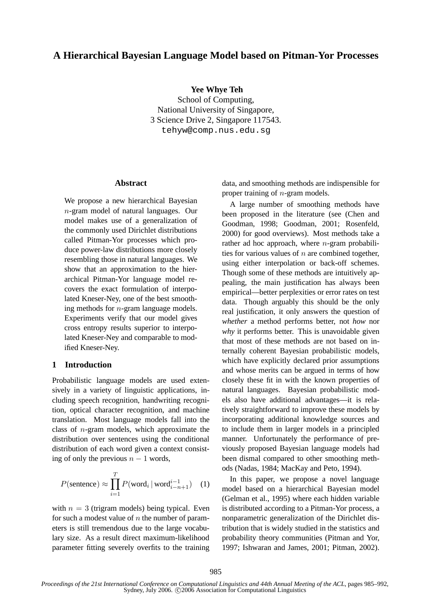# **A Hierarchical Bayesian Language Model based on Pitman-Yor Processes**

**Yee Whye Teh**

School of Computing, National University of Singapore, 3 Science Drive 2, Singapore 117543. tehyw@comp.nus.edu.sg

#### **Abstract**

We propose a new hierarchical Bayesian n-gram model of natural languages. Our model makes use of a generalization of the commonly used Dirichlet distributions called Pitman-Yor processes which produce power-law distributions more closely resembling those in natural languages. We show that an approximation to the hierarchical Pitman-Yor language model recovers the exact formulation of interpolated Kneser-Ney, one of the best smoothing methods for n-gram language models. Experiments verify that our model gives cross entropy results superior to interpolated Kneser-Ney and comparable to modified Kneser-Ney.

## **1 Introduction**

Probabilistic language models are used extensively in a variety of linguistic applications, including speech recognition, handwriting recognition, optical character recognition, and machine translation. Most language models fall into the class of  $n$ -gram models, which approximate the distribution over sentences using the conditional distribution of each word given a context consisting of only the previous  $n - 1$  words,

$$
P(\text{sentence}) \approx \prod_{i=1}^{T} P(\text{word}_i \mid \text{word}_{i-n+1}^{i-1}) \quad (1)
$$

with  $n = 3$  (trigram models) being typical. Even for such a modest value of  $n$  the number of parameters is still tremendous due to the large vocabulary size. As a result direct maximum-likelihood parameter fitting severely overfits to the training data, and smoothing methods are indispensible for proper training of n-gram models.

A large number of smoothing methods have been proposed in the literature (see (Chen and Goodman, 1998; Goodman, 2001; Rosenfeld, 2000) for good overviews). Most methods take a rather ad hoc approach, where  $n$ -gram probabilities for various values of  $n$  are combined together, using either interpolation or back-off schemes. Though some of these methods are intuitively appealing, the main justification has always been empirical—better perplexities or error rates on test data. Though arguably this should be the only real justification, it only answers the question of *whether* a method performs better, not *how* nor *why* it performs better. This is unavoidable given that most of these methods are not based on internally coherent Bayesian probabilistic models, which have explicitly declared prior assumptions and whose merits can be argued in terms of how closely these fit in with the known properties of natural languages. Bayesian probabilistic models also have additional advantages—it is relatively straightforward to improve these models by incorporating additional knowledge sources and to include them in larger models in a principled manner. Unfortunately the performance of previously proposed Bayesian language models had been dismal compared to other smoothing methods (Nadas, 1984; MacKay and Peto, 1994).

In this paper, we propose a novel language model based on a hierarchical Bayesian model (Gelman et al., 1995) where each hidden variable is distributed according to a Pitman-Yor process, a nonparametric generalization of the Dirichlet distribution that is widely studied in the statistics and probability theory communities (Pitman and Yor, 1997; Ishwaran and James, 2001; Pitman, 2002).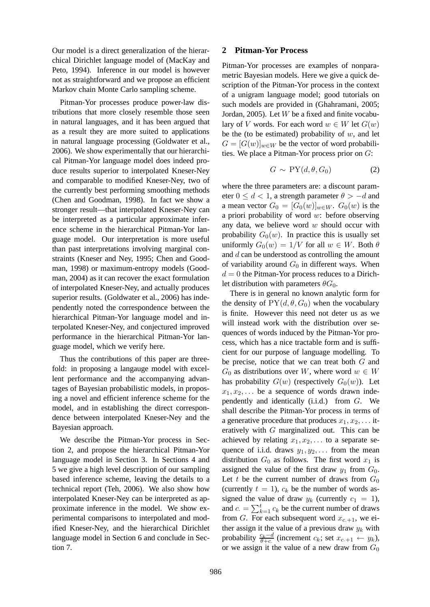Our model is a direct generalization of the hierarchical Dirichlet language model of (MacKay and Peto, 1994). Inference in our model is however not as straightforward and we propose an efficient Markov chain Monte Carlo sampling scheme.

Pitman-Yor processes produce power-law distributions that more closely resemble those seen in natural languages, and it has been argued that as a result they are more suited to applications in natural language processing (Goldwater et al., 2006). We show experimentally that our hierarchical Pitman-Yor language model does indeed produce results superior to interpolated Kneser-Ney and comparable to modified Kneser-Ney, two of the currently best performing smoothing methods (Chen and Goodman, 1998). In fact we show a stronger result—that interpolated Kneser-Ney can be interpreted as a particular approximate inference scheme in the hierarchical Pitman-Yor language model. Our interpretation is more useful than past interpretations involving marginal constraints (Kneser and Ney, 1995; Chen and Goodman, 1998) or maximum-entropy models (Goodman, 2004) as it can recover the exact formulation of interpolated Kneser-Ney, and actually produces superior results. (Goldwater et al., 2006) has independently noted the correspondence between the hierarchical Pitman-Yor language model and interpolated Kneser-Ney, and conjectured improved performance in the hierarchical Pitman-Yor language model, which we verify here.

Thus the contributions of this paper are threefold: in proposing a langauge model with excellent performance and the accompanying advantages of Bayesian probabilistic models, in proposing a novel and efficient inference scheme for the model, and in establishing the direct correspondence between interpolated Kneser-Ney and the Bayesian approach.

We describe the Pitman-Yor process in Section 2, and propose the hierarchical Pitman-Yor language model in Section 3. In Sections 4 and 5 we give a high level description of our sampling based inference scheme, leaving the details to a technical report (Teh, 2006). We also show how interpolated Kneser-Ney can be interpreted as approximate inference in the model. We show experimental comparisons to interpolated and modified Kneser-Ney, and the hierarchical Dirichlet language model in Section 6 and conclude in Section 7.

## **2 Pitman-Yor Process**

Pitman-Yor processes are examples of nonparametric Bayesian models. Here we give a quick description of the Pitman-Yor process in the context of a unigram language model; good tutorials on such models are provided in (Ghahramani, 2005; Jordan, 2005). Let  $W$  be a fixed and finite vocabulary of V words. For each word  $w \in W$  let  $G(w)$ be the (to be estimated) probability of  $w$ , and let  $G = [G(w)]_{w \in W}$  be the vector of word probabilities. We place a Pitman-Yor process prior on G:

$$
G \sim \text{PY}(d, \theta, G_0) \tag{2}
$$

where the three parameters are: a discount parameter  $0 \le d < 1$ , a strength parameter  $\theta > -d$  and a mean vector  $G_0 = [G_0(w)]_{w \in W}$ .  $G_0(w)$  is the a priori probability of word  $w$ : before observing any data, we believe word  $w$  should occur with probability  $G_0(w)$ . In practice this is usually set uniformly  $G_0(w) = 1/V$  for all  $w \in W$ . Both  $\theta$ and d can be understood as controlling the amount of variability around  $G_0$  in different ways. When  $d = 0$  the Pitman-Yor process reduces to a Dirichlet distribution with parameters  $\theta G_0$ .

There is in general no known analytic form for the density of  $PY(d, \theta, G_0)$  when the vocabulary is finite. However this need not deter us as we will instead work with the distribution over sequences of words induced by the Pitman-Yor process, which has a nice tractable form and is sufficient for our purpose of language modelling. To be precise, notice that we can treat both G and  $G_0$  as distributions over W, where word  $w \in W$ has probability  $G(w)$  (respectively  $G_0(w)$ ). Let  $x_1, x_2, \ldots$  be a sequence of words drawn independently and identically (i.i.d.) from G. We shall describe the Pitman-Yor process in terms of a generative procedure that produces  $x_1, x_2, \ldots$  iteratively with G marginalized out. This can be achieved by relating  $x_1, x_2, \ldots$  to a separate sequence of i.i.d. draws  $y_1, y_2, \ldots$  from the mean distribution  $G_0$  as follows. The first word  $x_1$  is assigned the value of the first draw  $y_1$  from  $G_0$ . Let t be the current number of draws from  $G_0$ (currently  $t = 1$ ),  $c_k$  be the number of words assigned the value of draw  $y_k$  (currently  $c_1 = 1$ ), and  $c = \sum_{k=1}^{t} c_k$  be the current number of draws from G. For each subsequent word  $x_{c,+1}$ , we either assign it the value of a previous draw  $y_k$  with probability  $\frac{c_k-d}{\theta+c}$  (increment  $c_k$ ; set  $x_{c+1} \leftarrow y_k$ ), or we assign it the value of a new draw from  $G_0$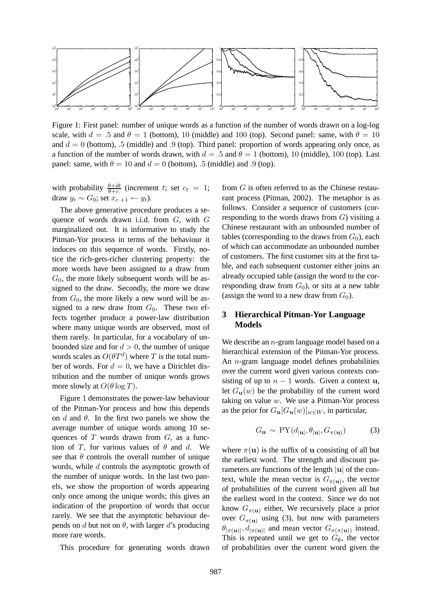

Figure 1: First panel: number of unique words as a function of the number of words drawn on a log-log scale, with  $d = .5$  and  $\theta = 1$  (bottom), 10 (middle) and 100 (top). Second panel: same, with  $\theta = 10$ and  $d = 0$  (bottom), .5 (middle) and .9 (top). Third panel: proportion of words appearing only once, as a function of the number of words drawn, with  $d = .5$  and  $\theta = 1$  (bottom), 10 (middle), 100 (top). Last panel: same, with  $\theta = 10$  and  $d = 0$  (bottom), .5 (middle) and .9 (top).

with probability  $\frac{\theta+dt}{\theta+c}$  (increment t; set  $c_t = 1$ ; draw  $y_t \sim G_0$ ; set  $x_{c.+1} \leftarrow y_t$ ).

The above generative procedure produces a sequence of words drawn i.i.d. from G, with G marginalized out. It is informative to study the Pitman-Yor process in terms of the behaviour it induces on this sequence of words. Firstly, notice the rich-gets-richer clustering property: the more words have been assigned to a draw from  $G<sub>0</sub>$ , the more likely subsequent words will be assigned to the draw. Secondly, the more we draw from  $G_0$ , the more likely a new word will be assigned to a new draw from  $G_0$ . These two effects together produce a power-law distribution where many unique words are observed, most of them rarely. In particular, for a vocabulary of unbounded size and for  $d > 0$ , the number of unique words scales as  $O(\theta T^d)$  where T is the total number of words. For  $d = 0$ , we have a Dirichlet distribution and the number of unique words grows more slowly at  $O(\theta \log T)$ .

Figure 1 demonstrates the power-law behaviour of the Pitman-Yor process and how this depends on  $d$  and  $\theta$ . In the first two panels we show the average number of unique words among 10 sequences of  $T$  words drawn from  $G$ , as a function of T, for various values of  $\theta$  and d. We see that  $\theta$  controls the overall number of unique words, while d controls the asymptotic growth of the number of unique words. In the last two panels, we show the proportion of words appearing only once among the unique words; this gives an indication of the proportion of words that occur rarely. We see that the asymptotic behaviour depends on d but not on  $\theta$ , with larger d's producing more rare words.

This procedure for generating words drawn

from G is often referred to as the Chinese restaurant process (Pitman, 2002). The metaphor is as follows. Consider a sequence of customers (corresponding to the words draws from  $G$ ) visiting a Chinese restaurant with an unbounded number of tables (corresponding to the draws from  $G_0$ ), each of which can accommodate an unbounded number of customers. The first customer sits at the first table, and each subsequent customer either joins an already occupied table (assign the word to the corresponding draw from  $G_0$ , or sits at a new table (assign the word to a new draw from  $G_0$ ).

## **3 Hierarchical Pitman-Yor Language Models**

We describe an *n*-gram language model based on a hierarchical extension of the Pitman-Yor process. An n-gram language model defines probabilities over the current word given various contexts consisting of up to  $n - 1$  words. Given a context u, let  $G_{\mathbf{u}}(w)$  be the probability of the current word taking on value  $w$ . We use a Pitman-Yor process as the prior for  $G_{\mathbf{u}}[G_{\mathbf{u}}(w)]_{w \in W}$ , in particular,

$$
G_{\mathbf{u}} \sim \text{PY}(d_{|\mathbf{u}|}, \theta_{|\mathbf{u}|}, G_{\pi(\mathbf{u})}) \tag{3}
$$

where  $\pi(\mathbf{u})$  is the suffix of **u** consisting of all but the earliest word. The strength and discount parameters are functions of the length  $|u|$  of the context, while the mean vector is  $G_{\pi(u)}$ , the vector of probabilities of the current word given all but the earliest word in the context. Since we do not know  $G_{\pi(\mathbf{u})}$  either, We recursively place a prior over  $G_{\pi(\mathbf{u})}$  using (3), but now with parameters  $\theta_{|\pi(u)|}$ ,  $d_{|\pi(u)|}$  and mean vector  $G_{\pi(\pi(u))}$  instead. This is repeated until we get to  $G_{\emptyset}$ , the vector of probabilities over the current word given the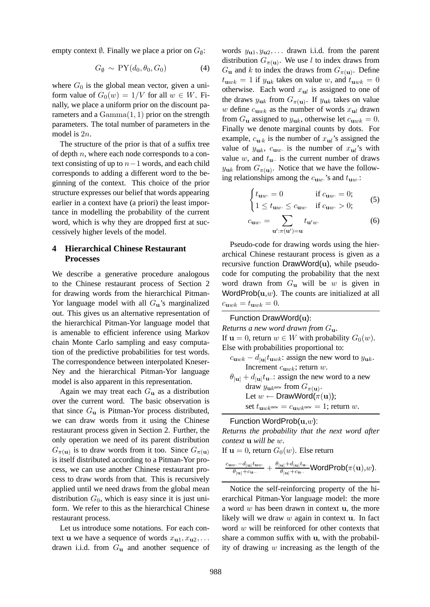empty context  $\emptyset$ . Finally we place a prior on  $G_{\emptyset}$ :

$$
G_{\emptyset} \sim \text{PY}(d_0, \theta_0, G_0) \tag{4}
$$

where  $G_0$  is the global mean vector, given a uniform value of  $G_0(w) = 1/V$  for all  $w \in W$ . Finally, we place a uniform prior on the discount parameters and a  $Gamma(1, 1)$  prior on the strength parameters. The total number of parameters in the model is 2n.

The structure of the prior is that of a suffix tree of depth  $n$ , where each node corresponds to a context consisting of up to  $n-1$  words, and each child corresponds to adding a different word to the beginning of the context. This choice of the prior structure expresses our belief that words appearing earlier in a context have (a priori) the least importance in modelling the probability of the current word, which is why they are dropped first at successively higher levels of the model.

## **4 Hierarchical Chinese Restaurant Processes**

We describe a generative procedure analogous to the Chinese restaurant process of Section 2 for drawing words from the hierarchical Pitman-Yor language model with all  $G_{\mathbf{u}}$ 's marginalized out. This gives us an alternative representation of the hierarchical Pitman-Yor language model that is amenable to efficient inference using Markov chain Monte Carlo sampling and easy computation of the predictive probabilities for test words. The correspondence between interpolated Kneser-Ney and the hierarchical Pitman-Yor language model is also apparent in this representation.

Again we may treat each  $G_u$  as a distribution over the current word. The basic observation is that since  $G_{\mathbf{u}}$  is Pitman-Yor process distributed, we can draw words from it using the Chinese restaurant process given in Section 2. Further, the only operation we need of its parent distribution  $G_{\pi(\mathbf{u})}$  is to draw words from it too. Since  $G_{\pi(\mathbf{u})}$ is itself distributed according to a Pitman-Yor process, we can use another Chinese restaurant process to draw words from that. This is recursively applied until we need draws from the global mean distribution  $G_0$ , which is easy since it is just uniform. We refer to this as the hierarchical Chinese restaurant process.

Let us introduce some notations. For each context u we have a sequence of words  $x_{u1}, x_{u2}, \ldots$ drawn i.i.d. from  $G_u$  and another sequence of words  $y_{u1}, y_{u2}, \ldots$  drawn i.i.d. from the parent distribution  $G_{\pi(\mathbf{u})}$ . We use l to index draws from  $G_{\mathbf{u}}$  and k to index the draws from  $G_{\pi(\mathbf{u})}$ . Define  $t_{\mathbf{u}wk} = 1$  if  $y_{\mathbf{u}k}$  takes on value w, and  $t_{\mathbf{u}wk} = 0$ otherwise. Each word  $x_{ul}$  is assigned to one of the draws  $y_{uk}$  from  $G_{\pi(u)}$ . If  $y_{uk}$  takes on value w define  $c_{\mathbf{u}wk}$  as the number of words  $x_{\mathbf{u}l}$  drawn from  $G_{\bf u}$  assigned to  $y_{\bf uk}$ , otherwise let  $c_{\bf u w k} = 0$ . Finally we denote marginal counts by dots. For example,  $c_{\mathbf{u}\cdot\mathbf{k}}$  is the number of  $x_{\mathbf{u}l}$ 's assigned the value of  $y_{uk}$ ,  $c_{uw}$  is the number of  $x_{ul}$ 's with value w, and  $t_{\text{u}}$  is the current number of draws  $y_{\textbf{u}k}$  from  $G_{\pi(\textbf{u})}$ . Notice that we have the following relationships among the  $c_{uw}$  's and  $t_{uw}$ .

$$
\begin{cases} t_{\mathbf{u}w} = 0 & \text{if } c_{\mathbf{u}w} = 0; \\ 1 \le t_{\mathbf{u}w} \le c_{\mathbf{u}w} & \text{if } c_{\mathbf{u}w} > 0; \end{cases}
$$
 (5)

$$
c_{\mathbf{u}w} = \sum_{\mathbf{u}': \pi(\mathbf{u}') = \mathbf{u}} t_{\mathbf{u}'w}.
$$
 (6)

Pseudo-code for drawing words using the hierarchical Chinese restaurant process is given as a recursive function DrawWord(u), while pseudocode for computing the probability that the next word drawn from  $G_{\mathbf{u}}$  will be w is given in WordProb $(u, w)$ . The counts are initialized at all  $c_{\mathbf{u}wk} = t_{\mathbf{u}wk} = 0.$ 

#### Function DrawWord(u):

*Returns a new word drawn from* Gu*.* If  $u = 0$ , return  $w \in W$  with probability  $G_0(w)$ . Else with probabilities proportional to:

- $c_{\mathbf{u}wk} d_{|\mathbf{u}|}t_{\mathbf{u}wk}$ : assign the new word to  $y_{\mathbf{u}k}$ . Increment  $c_{\text{u}wk}$ ; return w.
- $\theta_{|\mathbf{u}|} + d_{|\mathbf{u}|} t_{\mathbf{u}}$  assign the new word to a new draw  $y_{\mathbf{u}k^{\text{new}}}$  from  $G_{\pi(\mathbf{u})}$ . Let  $w \leftarrow \text{DrawWord}(\pi(\mathbf{u}))$ ; set  $t_{\mathbf{u}wk^{\text{new}}} = c_{\mathbf{u}wk^{\text{new}}} = 1$ ; return w.

## Function WordProb $(\mathbf{u},w)$ :

*Returns the probability that the next word after context* u *will be* w*.*

If  $u = 0$ , return  $G_0(w)$ . Else return

$$
\tfrac{c_{{\bf u} w\cdot}-d_{|{\bf u}|}t_{{\bf u} w\cdot}}{\theta_{|{\bf u}|}+c_{{\bf u}\cdot\cdot}}+\tfrac{\theta_{|{\bf u}|}+d_{|{\bf u}|}t_{{\bf u}\cdot\cdot}}{\theta_{|{\bf u}|}+c_{{\bf u}\cdot\cdot}}{\sf WordProb}(\pi({\bf u}),w).
$$

Notice the self-reinforcing property of the hierarchical Pitman-Yor language model: the more a word  $w$  has been drawn in context  $u$ , the more likely will we draw  $w$  again in context  $u$ . In fact word  $w$  will be reinforced for other contexts that share a common suffix with u, with the probability of drawing  $w$  increasing as the length of the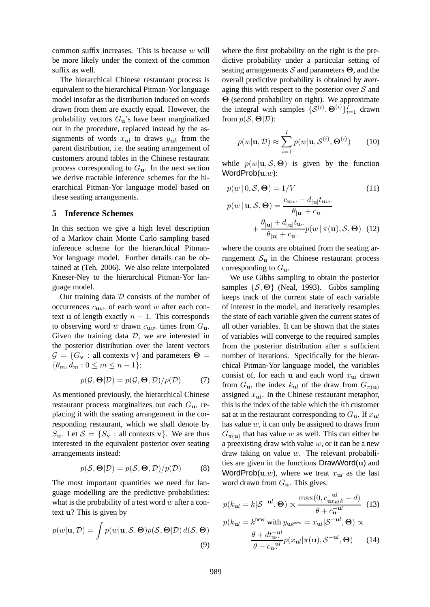common suffix increases. This is because  $w$  will be more likely under the context of the common suffix as well.

The hierarchical Chinese restaurant process is equivalent to the hierarchical Pitman-Yor language model insofar as the distribution induced on words drawn from them are exactly equal. However, the probability vectors  $G_{\mathbf{u}}$ 's have been marginalized out in the procedure, replaced instead by the assignments of words  $x_{ul}$  to draws  $y_{uk}$  from the parent distribution, i.e. the seating arrangement of customers around tables in the Chinese restaurant process corresponding to  $G_{\mathbf{u}}$ . In the next section we derive tractable inference schemes for the hierarchical Pitman-Yor language model based on these seating arrangements.

#### **5 Inference Schemes**

In this section we give a high level description of a Markov chain Monte Carlo sampling based inference scheme for the hierarchical Pitman-Yor language model. Further details can be obtained at (Teh, 2006). We also relate interpolated Kneser-Ney to the hierarchical Pitman-Yor language model.

Our training data  $D$  consists of the number of occurrences  $c_{\mathbf{u}w}$  of each word w after each context u of length exactly  $n - 1$ . This corresponds to observing word w drawn  $c_{\mathbf{u}w}$  times from  $G_{\mathbf{u}}$ . Given the training data  $D$ , we are interested in the posterior distribution over the latent vectors  $\mathcal{G} = \{G_v : \text{all contexts } v\}$  and parameters  $\Theta =$  $\{\theta_m, d_m : 0 \leq m \leq n-1\}$ :

$$
p(\mathcal{G}, \Theta|\mathcal{D}) = p(\mathcal{G}, \Theta, \mathcal{D})/p(\mathcal{D})
$$
 (7)

As mentioned previously, the hierarchical Chinese restaurant process marginalizes out each  $G_{\mathbf{u}}$ , replacing it with the seating arrangement in the corresponding restaurant, which we shall denote by  $S_{\mathbf{u}}$ . Let  $\mathcal{S} = \{S_{\mathbf{v}} : \text{all contexts } \mathbf{v}\}\$ . We are thus interested in the equivalent posterior over seating arrangements instead:

$$
p(S, \Theta | \mathcal{D}) = p(S, \Theta, \mathcal{D}) / p(\mathcal{D})
$$
 (8)

The most important quantities we need for language modelling are the predictive probabilities: what is the probability of a test word  $w$  after a context u? This is given by

$$
p(w|\mathbf{u}, \mathcal{D}) = \int p(w|\mathbf{u}, \mathcal{S}, \Theta) p(\mathcal{S}, \Theta | \mathcal{D}) d(\mathcal{S}, \Theta)
$$
\n(9)

where the first probability on the right is the predictive probability under a particular setting of seating arrangements  $\mathcal S$  and parameters  $\Theta$ , and the overall predictive probability is obtained by averaging this with respect to the posterior over  $S$  and Θ (second probability on right). We approximate the integral with samples  $\{\mathcal{S}^{(i)}, \Theta^{(i)}\}_{i=1}^{\tilde{l}}$  drawn from  $p(S, \Theta | \mathcal{D})$ :

$$
p(w|\mathbf{u}, \mathcal{D}) \approx \sum_{i=1}^{I} p(w|\mathbf{u}, \mathcal{S}^{(i)}, \mathbf{\Theta}^{(i)}) \qquad (10)
$$

while  $p(w|\mathbf{u}, \mathcal{S}, \Theta)$  is given by the function WordProb $(\mathbf{u},w)$ :

$$
p(w | 0, \mathcal{S}, \Theta) = 1/V \tag{11}
$$

$$
p(w | \mathbf{u}, \mathcal{S}, \mathbf{\Theta}) = \frac{c_{\mathbf{u}w} - d_{|\mathbf{u}|} t_{\mathbf{u}w}}{\theta_{|\mathbf{u}|} + c_{\mathbf{u}w}}
$$

$$
+ \frac{\theta_{|\mathbf{u}|} + d_{|\mathbf{u}|} t_{\mathbf{u}w}}{\theta_{|\mathbf{u}|} + c_{\mathbf{u}w}} p(w | \pi(\mathbf{u}), \mathcal{S}, \mathbf{\Theta}) \quad (12)
$$

where the counts are obtained from the seating arrangement  $S_{\rm u}$  in the Chinese restaurant process corresponding to  $G_{\mathbf{u}}$ .

We use Gibbs sampling to obtain the posterior samples  $\{S, \Theta\}$  (Neal, 1993). Gibbs sampling keeps track of the current state of each variable of interest in the model, and iteratively resamples the state of each variable given the current states of all other variables. It can be shown that the states of variables will converge to the required samples from the posterior distribution after a sufficient number of iterations. Specifically for the hierarchical Pitman-Yor language model, the variables consist of, for each u and each word  $x_{ul}$  drawn from  $G_{\mathbf{u}}$ , the index  $k_{\mathbf{u}}$  of the draw from  $G_{\pi(\mathbf{u})}$ assigned  $x_{ul}$ . In the Chinese restaurant metaphor, this is the index of the table which the  $l$ th customer sat at in the restaurant corresponding to  $G_{\mathbf{u}}$ . If  $x_{\mathbf{u}}$ has value  $w$ , it can only be assigned to draws from  $G_{\pi(\mathbf{u})}$  that has value w as well. This can either be a preexisting draw with value  $w$ , or it can be a new draw taking on value  $w$ . The relevant probabilities are given in the functions DrawWord(u) and WordProb(u,w), where we treat  $x_{ul}$  as the last word drawn from  $G_{\mathbf{u}}$ . This gives:

$$
p(k_{\mathbf{u}l} = k|\mathcal{S}^{-\mathbf{u}l}, \mathbf{\Theta}) \propto \frac{\max(0, c_{\mathbf{u}x_{\mathbf{u}l}k}^{-\mathbf{u}l} - d)}{\theta + c_{\mathbf{u}l}^{-\mathbf{u}l}} \quad (13)
$$

$$
p(k_{\mathbf{u}l} = k^{\text{new}} \text{ with } y_{\mathbf{u}k^{\text{new}}} = x_{\mathbf{u}l}|\mathcal{S}^{-\mathbf{u}l}, \mathbf{\Theta}) \propto
$$

$$
\frac{\theta + dt_{\mathbf{u}l}^{-\mathbf{u}l}}{\theta + c_{\mathbf{u}l}^{-\mathbf{u}l}} p(x_{\mathbf{u}l}|\pi(\mathbf{u}), \mathcal{S}^{-\mathbf{u}l}, \mathbf{\Theta}) \qquad (14)
$$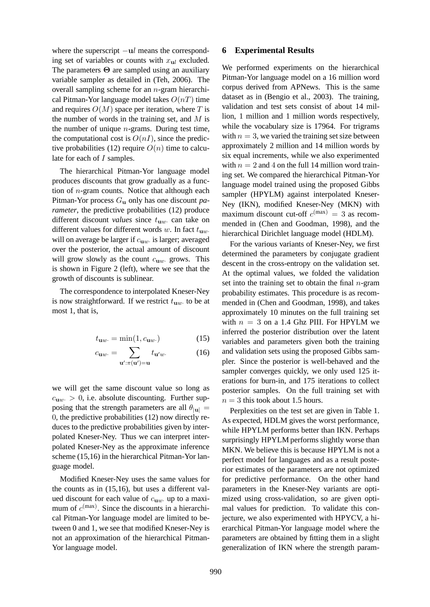where the superscript  $-\mathbf{u}$  means the corresponding set of variables or counts with  $x_{ul}$  excluded. The parameters Θ are sampled using an auxiliary variable sampler as detailed in (Teh, 2006). The overall sampling scheme for an n-gram hierarchical Pitman-Yor language model takes  $O(nT)$  time and requires  $O(M)$  space per iteration, where T is the number of words in the training set, and  $M$  is the number of unique  $n$ -grams. During test time, the computational cost is  $O(nI)$ , since the predictive probabilities (12) require  $O(n)$  time to calculate for each of I samples.

The hierarchical Pitman-Yor language model produces discounts that grow gradually as a function of  $n$ -gram counts. Notice that although each Pitman-Yor process Gu only has one discount *parameter*, the predictive probabilities (12) produce different discount *values* since  $t_{\text{uw}}$  can take on different values for different words w. In fact  $t_{\text{uw}}$ . will on average be larger if  $c_{\mathbf{u}w}$  is larger; averaged over the posterior, the actual amount of discount will grow slowly as the count  $c_{uw}$  grows. This is shown in Figure 2 (left), where we see that the growth of discounts is sublinear.

The correspondence to interpolated Kneser-Ney is now straightforward. If we restrict  $t_{uw}$  to be at most 1, that is,

$$
t_{\mathbf{u}w} = \min(1, c_{\mathbf{u}w}) \tag{15}
$$

$$
c_{\mathbf{u}w} = \sum_{\mathbf{u}': \pi(\mathbf{u}') = \mathbf{u}} t_{\mathbf{u}'w}.
$$
 (16)

we will get the same discount value so long as  $c_{\mathbf{u}w} > 0$ , i.e. absolute discounting. Further supposing that the strength parameters are all  $\theta_{\text{inj}} =$ 0, the predictive probabilities (12) now directly reduces to the predictive probabilities given by interpolated Kneser-Ney. Thus we can interpret interpolated Kneser-Ney as the approximate inference scheme (15,16) in the hierarchical Pitman-Yor language model.

Modified Kneser-Ney uses the same values for the counts as in (15,16), but uses a different valued discount for each value of  $c_{uw}$  up to a maximum of  $c^{(\text{max})}$ . Since the discounts in a hierarchical Pitman-Yor language model are limited to between 0 and 1, we see that modified Kneser-Ney is not an approximation of the hierarchical Pitman-Yor language model.

#### **6 Experimental Results**

We performed experiments on the hierarchical Pitman-Yor language model on a 16 million word corpus derived from APNews. This is the same dataset as in (Bengio et al., 2003). The training, validation and test sets consist of about 14 million, 1 million and 1 million words respectively, while the vocabulary size is 17964. For trigrams with  $n = 3$ , we varied the training set size between approximately 2 million and 14 million words by six equal increments, while we also experimented with  $n = 2$  and 4 on the full 14 million word training set. We compared the hierarchical Pitman-Yor language model trained using the proposed Gibbs sampler (HPYLM) against interpolated Kneser-Ney (IKN), modified Kneser-Ney (MKN) with maximum discount cut-off  $c^{(\text{max})} = 3$  as recommended in (Chen and Goodman, 1998), and the hierarchical Dirichlet language model (HDLM).

For the various variants of Kneser-Ney, we first determined the parameters by conjugate gradient descent in the cross-entropy on the validation set. At the optimal values, we folded the validation set into the training set to obtain the final  $n$ -gram probability estimates. This procedure is as recommended in (Chen and Goodman, 1998), and takes approximately 10 minutes on the full training set with  $n = 3$  on a 1.4 Ghz PIII. For HPYLM we inferred the posterior distribution over the latent variables and parameters given both the training and validation sets using the proposed Gibbs sampler. Since the posterior is well-behaved and the sampler converges quickly, we only used 125 iterations for burn-in, and 175 iterations to collect posterior samples. On the full training set with  $n = 3$  this took about 1.5 hours.

Perplexities on the test set are given in Table 1. As expected, HDLM gives the worst performance, while HPYLM performs better than IKN. Perhaps surprisingly HPYLM performs slightly worse than MKN. We believe this is because HPYLM is not a perfect model for languages and as a result posterior estimates of the parameters are not optimized for predictive performance. On the other hand parameters in the Kneser-Ney variants are optimized using cross-validation, so are given optimal values for prediction. To validate this conjecture, we also experimented with HPYCV, a hierarchical Pitman-Yor language model where the parameters are obtained by fitting them in a slight generalization of IKN where the strength param-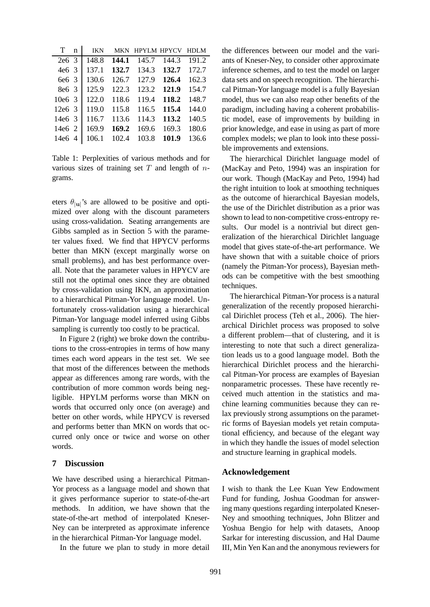| T                 | n | <b>IKN</b> | <b>MKN</b> | <b>HPYLM HPYCV</b> |       | HDLM  |
|-------------------|---|------------|------------|--------------------|-------|-------|
| 2e6 <sub>3</sub>  |   | 148.8      | 144.1      | 145.7              | 144.3 | 191.2 |
| 4e6 <sub>3</sub>  |   | 137.1      | 132.7      | 134.3              | 132.7 | 172.7 |
| 6e6 3             |   | 130.6      | 126.7      | 127.9              | 126.4 | 162.3 |
| 8e <sub>6</sub> 3 |   | 125.9      | 122.3      | 123.2              | 121.9 | 154.7 |
| 10e6.3            |   | 122.0      | 118.6      | 119.4              | 118.2 | 148.7 |
| $12e6$ 3          |   | 119.0      | 115.8      | 116.5              | 115.4 | 144.0 |
| 14e6 3            |   | 116.7      | 113.6      | 114.3              | 113.2 | 140.5 |
| $14e6 \; 2$       |   | 169.9      | 169.2      | 169.6              | 169.3 | 180.6 |
| 14e6 4            |   | 106.1      | 102.4      | 103.8              | 101.9 | 136.6 |

Table 1: Perplexities of various methods and for various sizes of training set  $T$  and length of  $n$ grams.

eters  $\theta_{|\mathbf{u}|}$ 's are allowed to be positive and optimized over along with the discount parameters using cross-validation. Seating arrangements are Gibbs sampled as in Section 5 with the parameter values fixed. We find that HPYCV performs better than MKN (except marginally worse on small problems), and has best performance overall. Note that the parameter values in HPYCV are still not the optimal ones since they are obtained by cross-validation using IKN, an approximation to a hierarchical Pitman-Yor language model. Unfortunately cross-validation using a hierarchical Pitman-Yor language model inferred using Gibbs sampling is currently too costly to be practical.

In Figure 2 (right) we broke down the contributions to the cross-entropies in terms of how many times each word appears in the test set. We see that most of the differences between the methods appear as differences among rare words, with the contribution of more common words being negligible. HPYLM performs worse than MKN on words that occurred only once (on average) and better on other words, while HPYCV is reversed and performs better than MKN on words that occurred only once or twice and worse on other words.

## **7 Discussion**

We have described using a hierarchical Pitman-Yor process as a language model and shown that it gives performance superior to state-of-the-art methods. In addition, we have shown that the state-of-the-art method of interpolated Kneser-Ney can be interpreted as approximate inference in the hierarchical Pitman-Yor language model.

In the future we plan to study in more detail

the differences between our model and the variants of Kneser-Ney, to consider other approximate inference schemes, and to test the model on larger data sets and on speech recognition. The hierarchical Pitman-Yor language model is a fully Bayesian model, thus we can also reap other benefits of the paradigm, including having a coherent probabilistic model, ease of improvements by building in prior knowledge, and ease in using as part of more complex models; we plan to look into these possible improvements and extensions.

The hierarchical Dirichlet language model of (MacKay and Peto, 1994) was an inspiration for our work. Though (MacKay and Peto, 1994) had the right intuition to look at smoothing techniques as the outcome of hierarchical Bayesian models, the use of the Dirichlet distribution as a prior was shown to lead to non-competitive cross-entropy results. Our model is a nontrivial but direct generalization of the hierarchical Dirichlet language model that gives state-of-the-art performance. We have shown that with a suitable choice of priors (namely the Pitman-Yor process), Bayesian methods can be competitive with the best smoothing techniques.

The hierarchical Pitman-Yor process is a natural generalization of the recently proposed hierarchical Dirichlet process (Teh et al., 2006). The hierarchical Dirichlet process was proposed to solve a different problem—that of clustering, and it is interesting to note that such a direct generalization leads us to a good language model. Both the hierarchical Dirichlet process and the hierarchical Pitman-Yor process are examples of Bayesian nonparametric processes. These have recently received much attention in the statistics and machine learning communities because they can relax previously strong assumptions on the parametric forms of Bayesian models yet retain computational efficiency, and because of the elegant way in which they handle the issues of model selection and structure learning in graphical models.

#### **Acknowledgement**

I wish to thank the Lee Kuan Yew Endowment Fund for funding, Joshua Goodman for answering many questions regarding interpolated Kneser-Ney and smoothing techniques, John Blitzer and Yoshua Bengio for help with datasets, Anoop Sarkar for interesting discussion, and Hal Daume III, Min Yen Kan and the anonymous reviewers for